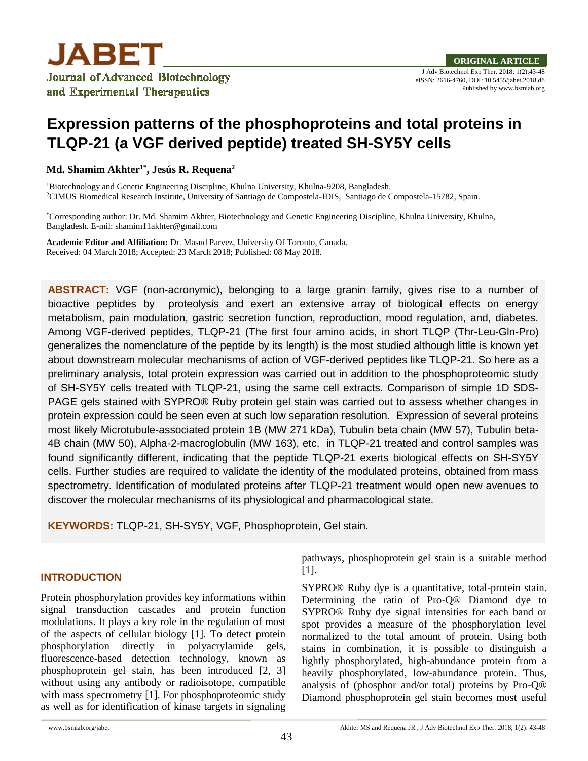

# **Expression patterns of the phosphoproteins and total proteins in TLQP-21 (a VGF derived peptide) treated SH-SY5Y cells**

**Md. Shamim Akhter1\*, Jesús R. Requena<sup>2</sup>**

<sup>1</sup>Biotechnology and Genetic Engineering Discipline, Khulna University, Khulna-9208, Bangladesh. <sup>2</sup>CIMUS Biomedical Research Institute, University of Santiago de Compostela-IDIS, Santiago de Compostela-15782, Spain.

\*Corresponding author: Dr. Md. Shamim Akhter, Biotechnology and Genetic Engineering Discipline, Khulna University, Khulna, Bangladesh. E-mil: shamim11akhter@gmail.com

**Academic Editor and Affiliation:** Dr. Masud Parvez, University Of Toronto, Canada. Received: 04 March 2018; Accepted: 23 March 2018; Published: 08 May 2018.

**ABSTRACT:** VGF (non-acronymic), belonging to a large granin family, gives rise to a number of bioactive peptides by proteolysis and exert an extensive array of biological effects on energy metabolism, pain modulation, gastric secretion function, reproduction, mood regulation, and, diabetes. Among VGF-derived peptides, TLQP-21 (The first four amino acids, in short TLQP (Thr-Leu-Gln-Pro) generalizes the nomenclature of the peptide by its length) is the most studied although little is known yet about downstream molecular mechanisms of action of VGF-derived peptides like TLQP-21. So here as a preliminary analysis, total protein expression was carried out in addition to the phosphoproteomic study of SH-SY5Y cells treated with TLQP-21, using the same cell extracts. Comparison of simple 1D SDS-PAGE gels stained with SYPRO® Ruby protein gel stain was carried out to assess whether changes in protein expression could be seen even at such low separation resolution. Expression of several proteins most likely Microtubule-associated protein 1B (MW 271 kDa), Tubulin beta chain (MW 57), Tubulin beta-4B chain (MW 50), Alpha-2-macroglobulin (MW 163), etc. in TLQP-21 treated and control samples was found significantly different, indicating that the peptide TLQP-21 exerts biological effects on SH-SY5Y cells. Further studies are required to validate the identity of the modulated proteins, obtained from mass spectrometry. Identification of modulated proteins after TLQP-21 treatment would open new avenues to discover the molecular mechanisms of its physiological and pharmacological state.

**KEYWORDS:** TLQP-21, SH-SY5Y, VGF, Phosphoprotein, Gel stain.

# **INTRODUCTION**

Protein phosphorylation provides key informations within signal transduction cascades and protein function modulations. It plays a key role in the regulation of most of the aspects of cellular biology [1]. To detect protein phosphorylation directly in polyacrylamide gels, fluorescence-based detection technology, known as phosphoprotein gel stain, has been introduced [2, 3] without using any antibody or radioisotope, compatible with mass spectrometry [1]. For phosphoproteomic study as well as for identification of kinase targets in signaling

pathways, phosphoprotein gel stain is a suitable method [1].

SYPRO® Ruby dye is a quantitative, total-protein stain. Determining the ratio of Pro-Q® Diamond dye to SYPRO® Ruby dye signal intensities for each band or spot provides a measure of the phosphorylation level normalized to the total amount of protein. Using both stains in combination, it is possible to distinguish a lightly phosphorylated, high-abundance protein from a heavily phosphorylated, low-abundance protein. Thus, analysis of (phosphor and/or total) proteins by Pro-Q® Diamond phosphoprotein gel stain becomes most useful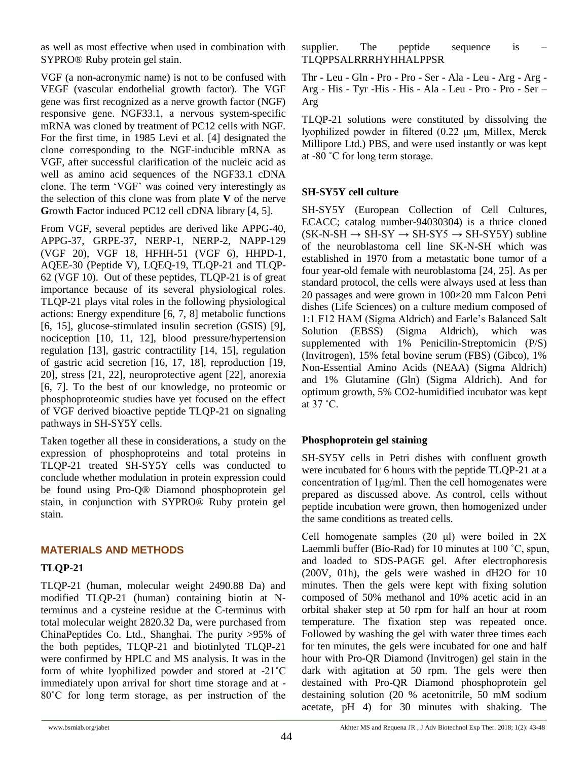as well as most effective when used in combination with SYPRO® Ruby protein gel stain.

VGF (a non-acronymic name) is not to be confused with VEGF (vascular endothelial growth factor). The VGF gene was first recognized as a nerve growth factor (NGF) responsive gene. NGF33.1, a nervous system-specific mRNA was cloned by treatment of PC12 cells with NGF. For the first time, in 1985 Levi et al. [4] designated the clone corresponding to the NGF-inducible mRNA as VGF, after successful clarification of the nucleic acid as well as amino acid sequences of the NGF33.1 cDNA clone. The term 'VGF' was coined very interestingly as the selection of this clone was from plate **V** of the nerve **G**rowth **F**actor induced PC12 cell cDNA library [4, 5].

From VGF, several peptides are derived like APPG-40, APPG-37, GRPE-37, NERP-1, NERP-2, NAPP-129 (VGF 20), VGF 18, HFHH-51 (VGF 6), HHPD-1, AQEE-30 (Peptide V), LQEQ-19, TLQP-21 and TLQP-62 (VGF 10). Out of these peptides, TLQP-21 is of great importance because of its several physiological roles. TLQP-21 plays vital roles in the following physiological actions: Energy expenditure [6, 7, 8] metabolic functions [6, 15], glucose-stimulated insulin secretion (GSIS) [9], nociception [10, 11, 12], blood pressure/hypertension regulation [13], gastric contractility [14, 15], regulation of gastric acid secretion [16, 17, 18], reproduction [19, 20], stress [21, 22], neuroprotective agent [22], anorexia [6, 7]. To the best of our knowledge, no proteomic or phosphoproteomic studies have yet focused on the effect of VGF derived bioactive peptide TLQP-21 on signaling pathways in SH-SY5Y cells.

Taken together all these in considerations, a study on the expression of phosphoproteins and total proteins in TLQP-21 treated SH-SY5Y cells was conducted to conclude whether modulation in protein expression could be found using Pro-Q® Diamond phosphoprotein gel stain, in conjunction with SYPRO® Ruby protein gel stain.

# **MATERIALS AND METHODS**

# **TLQP-21**

TLQP-21 (human, molecular weight 2490.88 Da) and modified TLQP-21 (human) containing biotin at Nterminus and a cysteine residue at the C-terminus with total molecular weight 2820.32 Da, were purchased from ChinaPeptides Co. Ltd., Shanghai. The purity >95% of the both peptides, TLQP-21 and biotinlyted TLQP-21 were confirmed by HPLC and MS analysis. It was in the form of white lyophilized powder and stored at -21˚C immediately upon arrival for short time storage and at - 80˚C for long term storage, as per instruction of the

supplier. The peptide sequence is TLQPPSALRRRHYHHALPPSR

Thr - Leu - Gln - Pro - Pro - Ser - Ala - Leu - Arg - Arg - Arg - His - Tyr -His - His - Ala - Leu - Pro - Pro - Ser – Arg

TLQP-21 solutions were constituted by dissolving the lyophilized powder in filtered (0.22 μm, Millex, Merck Millipore Ltd.) PBS, and were used instantly or was kept at -80 ˚C for long term storage.

# **SH-SY5Y cell culture**

SH-SY5Y (European Collection of Cell Cultures, ECACC; catalog number-94030304) is a thrice cloned  $(SK-N-SH \rightarrow SH-SY \rightarrow SH-SY5 \rightarrow SH-SY5Y)$  subline of the neuroblastoma cell line SK-N-SH which was established in 1970 from a metastatic bone tumor of a four year-old female with neuroblastoma [24, 25]. As per standard protocol, the cells were always used at less than 20 passages and were grown in 100×20 mm Falcon Petri dishes (Life Sciences) on a culture medium composed of 1:1 F12 HAM (Sigma Aldrich) and Earle's Balanced Salt Solution (EBSS) (Sigma Aldrich), which was supplemented with 1% Penicilin-Streptomicin (P/S) (Invitrogen), 15% fetal bovine serum (FBS) (Gibco), 1% Non-Essential Amino Acids (NEAA) (Sigma Aldrich) and 1% Glutamine (Gln) (Sigma Aldrich). And for optimum growth, 5% CO2-humidified incubator was kept at 37 ˚C.

# **Phosphoprotein gel staining**

SH-SY5Y cells in Petri dishes with confluent growth were incubated for 6 hours with the peptide TLQP-21 at a concentration of 1μg/ml. Then the cell homogenates were prepared as discussed above. As control, cells without peptide incubation were grown, then homogenized under the same conditions as treated cells.

Cell homogenate samples (20 μl) were boiled in 2X Laemmli buffer (Bio-Rad) for 10 minutes at 100 ˚C, spun, and loaded to SDS-PAGE gel. After electrophoresis (200V, 01h), the gels were washed in dH2O for 10 minutes. Then the gels were kept with fixing solution composed of 50% methanol and 10% acetic acid in an orbital shaker step at 50 rpm for half an hour at room temperature. The fixation step was repeated once. Followed by washing the gel with water three times each for ten minutes, the gels were incubated for one and half hour with Pro-QR Diamond (Invitrogen) gel stain in the dark with agitation at 50 rpm. The gels were then destained with Pro-QR Diamond phosphoprotein gel destaining solution (20 % acetonitrile, 50 mM sodium acetate, pH 4) for 30 minutes with shaking. The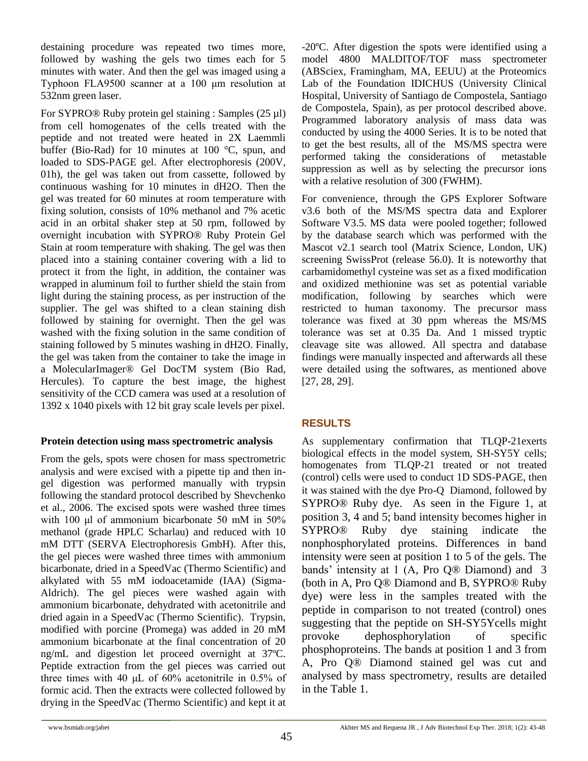destaining procedure was repeated two times more, followed by washing the gels two times each for 5 minutes with water. And then the gel was imaged using a Typhoon FLA9500 scanner at a 100 μm resolution at 532nm green laser.

For SYPRO® Ruby protein gel staining : Samples (25 µl) from cell homogenates of the cells treated with the peptide and not treated were heated in 2X Laemmli buffer (Bio-Rad) for 10 minutes at 100 °C, spun, and loaded to SDS-PAGE gel. After electrophoresis (200V, 01h), the gel was taken out from cassette, followed by continuous washing for 10 minutes in dH2O. Then the gel was treated for 60 minutes at room temperature with fixing solution, consists of 10% methanol and 7% acetic acid in an orbital shaker step at 50 rpm, followed by overnight incubation with SYPRO® Ruby Protein Gel Stain at room temperature with shaking. The gel was then placed into a staining container covering with a lid to protect it from the light, in addition, the container was wrapped in aluminum foil to further shield the stain from light during the staining process, as per instruction of the supplier. The gel was shifted to a clean staining dish followed by staining for overnight. Then the gel was washed with the fixing solution in the same condition of staining followed by 5 minutes washing in dH2O. Finally, the gel was taken from the container to take the image in a MolecularImager® Gel DocTM system (Bio Rad, Hercules). To capture the best image, the highest sensitivity of the CCD camera was used at a resolution of 1392 x 1040 pixels with 12 bit gray scale levels per pixel.

#### **Protein detection using mass spectrometric analysis**

From the gels, spots were chosen for mass spectrometric analysis and were excised with a pipette tip and then ingel digestion was performed manually with trypsin following the standard protocol described by Shevchenko et al., 2006. The excised spots were washed three times with 100 μl of ammonium bicarbonate 50 mM in 50% methanol (grade HPLC Scharlau) and reduced with 10 mM DTT (SERVA Electrophoresis GmbH). After this, the gel pieces were washed three times with ammonium bicarbonate, dried in a SpeedVac (Thermo Scientific) and alkylated with 55 mM iodoacetamide (IAA) (Sigma-Aldrich). The gel pieces were washed again with ammonium bicarbonate, dehydrated with acetonitrile and dried again in a SpeedVac (Thermo Scientific). Trypsin, modified with porcine (Promega) was added in 20 mM ammonium bicarbonate at the final concentration of 20 ng/mL and digestion let proceed overnight at 37ºC. Peptide extraction from the gel pieces was carried out three times with 40 μL of 60% acetonitrile in 0.5% of formic acid. Then the extracts were collected followed by drying in the SpeedVac (Thermo Scientific) and kept it at -20ºC. After digestion the spots were identified using a model 4800 MALDITOF/TOF mass spectrometer (ABSciex, Framingham, MA, EEUU) at the Proteomics Lab of the Foundation IDICHUS (University Clinical Hospital, University of Santiago de Compostela, Santiago de Compostela, Spain), as per protocol described above. Programmed laboratory analysis of mass data was conducted by using the 4000 Series. It is to be noted that to get the best results, all of the MS/MS spectra were performed taking the considerations of metastable suppression as well as by selecting the precursor ions with a relative resolution of 300 (FWHM).

For convenience, through the GPS Explorer Software v3.6 both of the MS/MS spectra data and Explorer Software V3.5. MS data were pooled together; followed by the database search which was performed with the Mascot v2.1 search tool (Matrix Science, London, UK) screening SwissProt (release 56.0). It is noteworthy that carbamidomethyl cysteine was set as a fixed modification and oxidized methionine was set as potential variable modification, following by searches which were restricted to human taxonomy. The precursor mass tolerance was fixed at 30 ppm whereas the MS/MS tolerance was set at 0.35 Da. And 1 missed tryptic cleavage site was allowed. All spectra and database findings were manually inspected and afterwards all these were detailed using the softwares, as mentioned above [27, 28, 29].

# **RESULTS**

As supplementary confirmation that TLQP-21exerts biological effects in the model system, SH-SY5Y cells; homogenates from TLQP-21 treated or not treated (control) cells were used to conduct 1D SDS-PAGE, then it was stained with the dye Pro-Q Diamond, followed by SYPRO® Ruby dye. As seen in the Figure 1, at position 3, 4 and 5; band intensity becomes higher in SYPRO® Ruby dye staining indicate the nonphosphorylated proteins. Differences in band intensity were seen at position 1 to 5 of the gels. The bands' intensity at 1 (A, Pro Q® Diamond) and 3 (both in A, Pro Q® Diamond and B, SYPRO® Ruby dye) were less in the samples treated with the peptide in comparison to not treated (control) ones suggesting that the peptide on SH-SY5Ycells might provoke dephosphorylation of specific phosphoproteins. The bands at position 1 and 3 from A, Pro Q® Diamond stained gel was cut and analysed by mass spectrometry, results are detailed in the Table 1.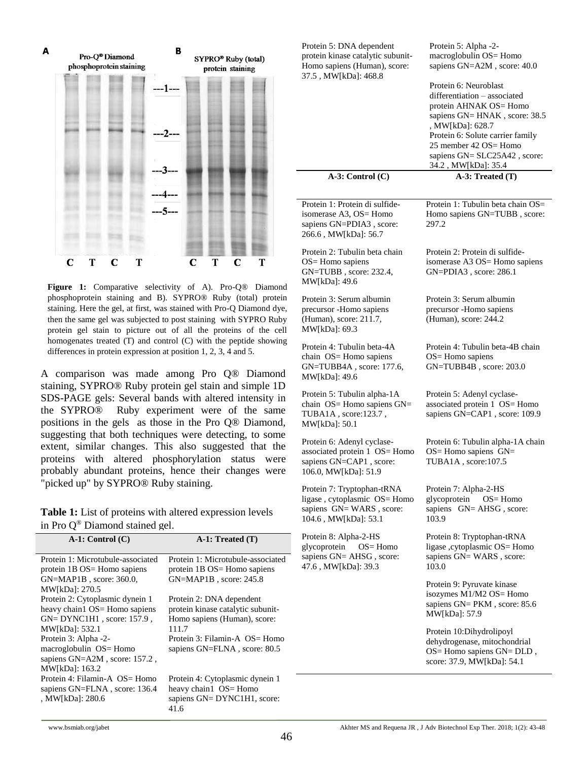

**Figure 1:** Comparative selectivity of A). Pro-Q® Diamond phosphoprotein staining and B). SYPRO® Ruby (total) protein staining. Here the gel, at first, was stained with Pro-Q Diamond dye, then the same gel was subjected to post staining with SYPRO Ruby protein gel stain to picture out of all the proteins of the cell homogenates treated (T) and control (C) with the peptide showing differences in protein expression at position 1, 2, 3, 4 and 5.

A comparison was made among Pro Q® Diamond staining, SYPRO® Ruby protein gel stain and simple 1D SDS-PAGE gels: Several bands with altered intensity in the SYPRO® Ruby experiment were of the same positions in the gels as those in the Pro Q® Diamond, suggesting that both techniques were detecting, to some extent, similar changes. This also suggested that the proteins with altered phosphorylation status were probably abundant proteins, hence their changes were "picked up" by SYPRO® Ruby staining.

**Table 1:** List of proteins with altered expression levels in Pro Q® Diamond stained gel.

| $A-1$ : Control $(C)$             | $A-1$ : Treated $(T)$             |
|-----------------------------------|-----------------------------------|
| Protein 1: Microtubule-associated | Protein 1: Microtubule-associated |
| protein 1B OS= Homo sapiens       | protein 1B OS= Homo sapiens       |
| $GN=MAP1B$ , score: 360.0,        | $GN=MAP1B$ , score: 245.8         |
| MW[kDa]: 270.5                    |                                   |
| Protein 2: Cytoplasmic dynein 1   | Protein 2: DNA dependent          |
| heavy chain1 OS= Homo sapiens     | protein kinase catalytic subunit- |
| $GN = DYNC1H1$ , score: 157.9,    | Homo sapiens (Human), score:      |
| MW[kDa]: 532.1                    | 111.7                             |
| Protein 3: Alpha -2-              | Protein 3: Filamin-A $OS =$ Homo  |
| macroglobulin OS= Homo            | sapiens GN=FLNA, score: 80.5      |
| sapiens GN=A2M, score: 157.2,     |                                   |
| MW[kDa]: 163.2                    |                                   |
| Protein 4: Filamin-A OS= Homo     | Protein 4: Cytoplasmic dynein 1   |
| sapiens GN=FLNA, score: 136.4     | heavy chain1 OS= Homo             |
| , MW[kDa]: 280.6                  | sapiens GN= DYNC1H1, score:       |
|                                   | 41.6                              |

| Protein 5: DNA dependent<br>protein kinase catalytic subunit-<br>Homo sapiens (Human), score:<br>37.5, MW[kDa]: 468.8 | Protein 5: Alpha -2-<br>macroglobulin OS= Homo<br>sapiens GN=A2M, score: 40.0<br>Protein 6: Neuroblast<br>differentiation - associated<br>protein AHNAK OS= Homo<br>sapiens GN= HNAK, score: 38.5<br>, MW[kDa]: 628.7<br>Protein 6: Solute carrier family<br>25 member 42 OS= Homo<br>sapiens GN= SLC25A42, score:<br>34.2, MW[kDa]: 35.4 |
|-----------------------------------------------------------------------------------------------------------------------|-------------------------------------------------------------------------------------------------------------------------------------------------------------------------------------------------------------------------------------------------------------------------------------------------------------------------------------------|
| $A-3$ : Control $(C)$                                                                                                 | $A-3$ : Treated $(T)$                                                                                                                                                                                                                                                                                                                     |
| Protein 1: Protein di sulfide-<br>isomerase A3, OS= Homo<br>sapiens GN=PDIA3, score:<br>266.6, MW[kDa]: 56.7          | Protein 1: Tubulin beta chain OS=<br>Homo sapiens GN=TUBB, score:<br>297.2                                                                                                                                                                                                                                                                |
| Protein 2: Tubulin beta chain<br>OS= Homo sapiens<br>GN=TUBB, score: 232.4,<br>MW[kDa]: 49.6                          | Protein 2: Protein di sulfide-<br>isomerase A3 OS= Homo sapiens<br>$GN = PDIA3$ , score: 286.1                                                                                                                                                                                                                                            |
| Protein 3: Serum albumin<br>precursor -Homo sapiens<br>(Human), score: 211.7,<br>MW[kDa]: 69.3                        | Protein 3: Serum albumin<br>precursor -Homo sapiens<br>(Human), score: 244.2                                                                                                                                                                                                                                                              |
| Protein 4: Tubulin beta-4A<br>chain OS= Homo sapiens<br>GN=TUBB4A, score: 177.6,<br>MW[kDa]: 49.6                     | Protein 4: Tubulin beta-4B chain<br>$OS =$ Homo sapiens<br>GN=TUBB4B, score: 203.0                                                                                                                                                                                                                                                        |
| Protein 5: Tubulin alpha-1A<br>chain OS= Homo sapiens GN=<br>TUBA1A, score:123.7,<br>MW[kDa]: 50.1                    | Protein 5: Adenyl cyclase-<br>associated protein 1 OS= Homo<br>sapiens GN=CAP1, score: 109.9                                                                                                                                                                                                                                              |
| Protein 6: Adenyl cyclase-<br>associated protein 1 OS= Homo<br>sapiens GN=CAP1, score:<br>106.0, MW[kDa]: 51.9        | Protein 6: Tubulin alpha-1A chain<br>$OS =$ Homo sapiens $GN =$<br>TUBA1A, score:107.5                                                                                                                                                                                                                                                    |
| Protein 7: Tryptophan-tRNA<br>ligase, cytoplasmic OS= Homo<br>sapiens GN=WARS, score:<br>104.6, MW[kDa]: 53.1         | Protein 7: Alpha-2-HS<br>glycoprotein<br>$OS = Homo$<br>sapiens GN= AHSG, score:<br>103.9                                                                                                                                                                                                                                                 |
| Protein 8: Alpha-2-HS<br>glycoprotein<br>$OS =$ Homo<br>sapiens GN= AHSG, score:<br>47.6, MW[kDa]: 39.3               | Protein 8: Tryptophan-tRNA<br>ligase ,cytoplasmic OS= Homo<br>sapiens GN= WARS, score:<br>103.0                                                                                                                                                                                                                                           |
|                                                                                                                       | Protein 9: Pyruvate kinase<br>isozymes M1/M2 OS= Homo<br>sapiens GN= PKM, score: 85.6<br>MW[kDa]: 57.9                                                                                                                                                                                                                                    |
|                                                                                                                       | Protein 10:Dihydrolipoyl<br>dehydrogenase, mitochondrial<br>OS= Homo sapiens GN= DLD,<br>score: 37.9, MW[kDa]: 54.1                                                                                                                                                                                                                       |
|                                                                                                                       |                                                                                                                                                                                                                                                                                                                                           |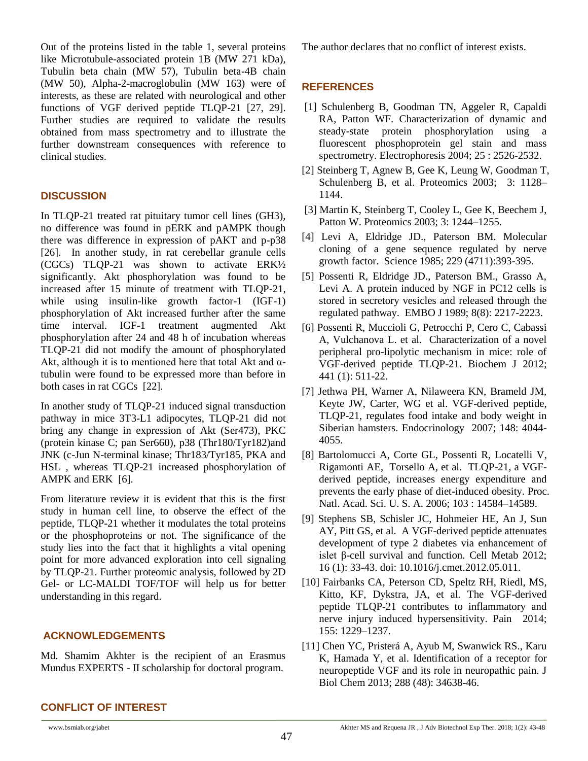Out of the proteins listed in the table 1, several proteins like Microtubule-associated protein 1B (MW 271 kDa), Tubulin beta chain (MW 57), Tubulin beta-4B chain (MW 50), Alpha-2-macroglobulin (MW 163) were of interests, as these are related with neurological and other functions of VGF derived peptide TLQP-21 [27, 29]. Further studies are required to validate the results obtained from mass spectrometry and to illustrate the further downstream consequences with reference to clinical studies.

### **DISCUSSION**

In TLQP-21 treated rat pituitary tumor cell lines (GH3), no difference was found in pERK and pAMPK though there was difference in expression of pAKT and p-p38 [26]. In another study, in rat cerebellar granule cells (CGCs) TLQP-21 was shown to activate ERK½ significantly. Akt phosphorylation was found to be increased after 15 minute of treatment with TLQP-21, while using insulin-like growth factor-1 (IGF-1) phosphorylation of Akt increased further after the same time interval. IGF-1 treatment augmented Akt phosphorylation after 24 and 48 h of incubation whereas TLQP-21 did not modify the amount of phosphorylated Akt, although it is to mentioned here that total Akt and  $\alpha$ tubulin were found to be expressed more than before in both cases in rat CGCs [22].

In another study of TLQP-21 induced signal transduction pathway in mice 3T3-L1 adipocytes, TLQP-21 did not bring any change in expression of Akt (Ser473), PKC (protein kinase C; pan Ser660), p38 (Thr180/Tyr182)and JNK (c-Jun N-terminal kinase; Thr183/Tyr185, PKA and HSL , whereas TLQP-21 increased phosphorylation of AMPK and ERK [6].

From literature review it is evident that this is the first study in human cell line, to observe the effect of the peptide, TLQP-21 whether it modulates the total proteins or the phosphoproteins or not. The significance of the study lies into the fact that it highlights a vital opening point for more advanced exploration into cell signaling by TLQP-21. Further proteomic analysis, followed by 2D Gel- or LC-MALDI TOF/TOF will help us for better understanding in this regard.

#### **ACKNOWLEDGEMENTS**

Md. Shamim Akhter is the recipient of an Erasmus Mundus EXPERTS - II scholarship for doctoral program.

The author declares that no conflict of interest exists.

#### **REFERENCES**

- [1] Schulenberg B, Goodman TN, Aggeler R, Capaldi RA, Patton WF. Characterization of dynamic and steady-state protein phosphorylation using a fluorescent phosphoprotein gel stain and mass spectrometry. Electrophoresis 2004; 25 : 2526-2532.
- [2] Steinberg T, Agnew B, Gee K, Leung W, Goodman T, Schulenberg B, et al. Proteomics 2003; 3: 1128– 1144.
- [3] Martin K, Steinberg T, Cooley L, Gee K, Beechem J, Patton W. Proteomics 2003; 3: 1244–1255.
- [4] Levi A, Eldridge JD., Paterson BM. Molecular cloning of a gene sequence regulated by nerve growth factor. Science 1985; 229 (4711):393-395.
- [5] Possenti R, Eldridge JD., Paterson BM., Grasso A, Levi A. A protein induced by NGF in PC12 cells is stored in secretory vesicles and released through the regulated pathway. EMBO J 1989; 8(8): 2217-2223.
- [6] Possenti R, Muccioli G, Petrocchi P, Cero C, Cabassi A, Vulchanova L. et al. Characterization of a novel peripheral pro-lipolytic mechanism in mice: role of VGF-derived peptide TLQP-21. Biochem J 2012; 441 (1): 511-22.
- [7] Jethwa PH, Warner A, Nilaweera KN, Brameld JM, Keyte JW, Carter, WG et al. VGF-derived peptide, TLQP-21, regulates food intake and body weight in Siberian hamsters. Endocrinology 2007; 148: 4044- 4055.
- [8] Bartolomucci A, Corte GL, Possenti R, Locatelli V, Rigamonti AE, Torsello A, et al. TLQP-21, a VGFderived peptide, increases energy expenditure and prevents the early phase of diet-induced obesity. Proc. Natl. Acad. Sci. U. S. A. 2006; 103 : 14584–14589.
- [9] Stephens SB, Schisler JC, Hohmeier HE, An J, Sun AY, Pitt GS, et al. A VGF-derived peptide attenuates development of type 2 diabetes via enhancement of islet β-cell survival and function. Cell Metab 2012; 16 (1): 33-43. doi: 10.1016/j.cmet.2012.05.011.
- [10] Fairbanks CA, Peterson CD, Speltz RH, Riedl, MS, Kitto, KF, Dykstra, JA, et al. The VGF-derived peptide TLQP-21 contributes to inflammatory and nerve injury induced hypersensitivity. Pain 2014; 155: 1229–1237.
- [11] Chen YC, Pristerá A, Ayub M, Swanwick RS., Karu K, Hamada Y, et al. Identification of a receptor for neuropeptide VGF and its role in neuropathic pain. J Biol Chem 2013; 288 (48): 34638-46.

#### **CONFLICT OF INTEREST**